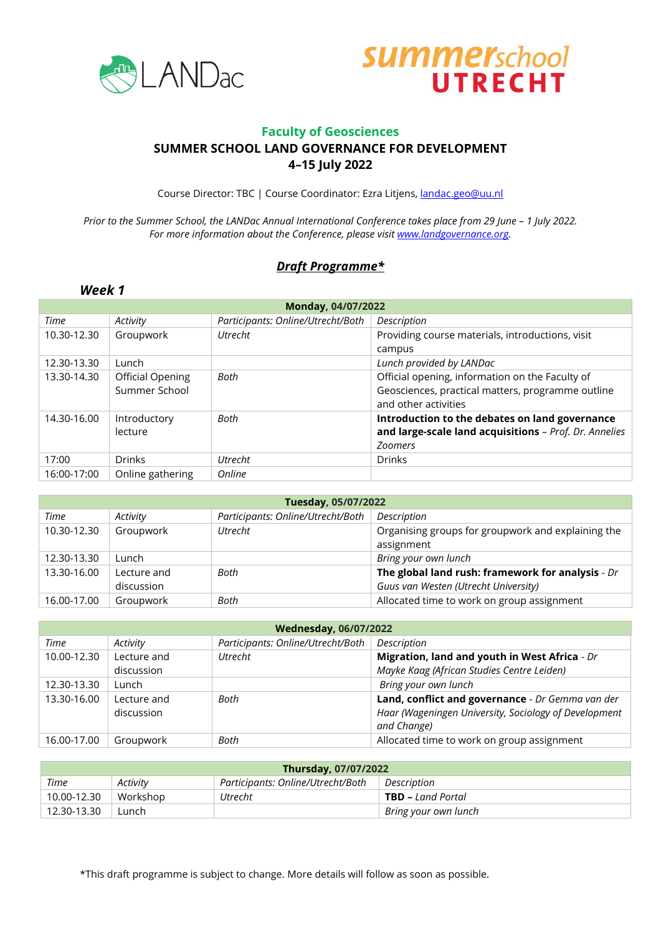



### **Faculty of Geosciences SUMMER SCHOOL LAND GOVERNANCE FOR DEVELOPMENT 4–15 July 2022**

Course Director: TBC | Course Coordinator: Ezra Litjens, [landac.geo@uu.nl](mailto:landac.geo@uu.nl)

*Prior to the Summer School, the LANDac Annual International Conference takes place from 29 June – 1 July 2022.*  For more information about the Conference, please visit **www.landgovernance.org.** 

### *Draft Programme\**

#### **Monday, 04/07/2022** *Time Activity Participants: Online/Utrecht/Both Description* 10.30-12.30 Groupwork *Utrecht* Providing course materials, introductions, visit campus 12.30-13.30 Lunch *Lunch provided by LANDac* 13.30-14.30 Official Opening Summer School **Both Defficial opening, information on the Faculty of** Geosciences, practical matters, programme outline and other activities 14.30-16.00 | Introductory lecture *Both* **Introduction to the debates on land governance and large-scale land acquisitions** – *Prof. Dr. Annelies Zoomers* 17:00 Drinks *Utrecht* Drinks 16:00-17:00 Online gathering *Online*

| Tuesday, 05/07/2022 |                           |                                   |                                                                                           |  |
|---------------------|---------------------------|-----------------------------------|-------------------------------------------------------------------------------------------|--|
| Time                | Activity                  | Participants: Online/Utrecht/Both | Description                                                                               |  |
| 10.30-12.30         | Groupwork                 | Utrecht                           | Organising groups for groupwork and explaining the<br>assignment                          |  |
| 12.30-13.30         | Lunch                     |                                   | Bring your own lunch                                                                      |  |
| 13.30-16.00         | Lecture and<br>discussion | Both                              | The global land rush: framework for analysis - Dr<br>Guus van Westen (Utrecht University) |  |
| 16.00-17.00         | Groupwork                 | Both                              | Allocated time to work on group assignment                                                |  |

| <b>Wednesday, 06/07/2022</b> |             |                                   |                                                                      |  |
|------------------------------|-------------|-----------------------------------|----------------------------------------------------------------------|--|
| Time                         | Activity    | Participants: Online/Utrecht/Both | Description                                                          |  |
| 10.00-12.30                  | Lecture and | <b>Utrecht</b>                    | Migration, land and youth in West Africa - Dr                        |  |
|                              | discussion  |                                   | Mayke Kaag (African Studies Centre Leiden)                           |  |
| 12.30-13.30                  | Lunch       |                                   | Bring your own lunch                                                 |  |
| 13.30-16.00                  | Lecture and | Both                              | Land, conflict and governance - Dr Gemma van der                     |  |
|                              | discussion  |                                   | Haar (Wageningen University, Sociology of Development<br>and Change) |  |
| 16.00-17.00                  | Groupwork   | Both                              | Allocated time to work on group assignment                           |  |

| Thursday, 07/07/2022                                                 |          |         |                          |  |
|----------------------------------------------------------------------|----------|---------|--------------------------|--|
| Time<br>Participants: Online/Utrecht/Both<br>Description<br>Activity |          |         |                          |  |
| 10.00-12.30                                                          | Workshop | Utrecht | <b>TBD</b> – Land Portal |  |
| 12.30-13.30                                                          | Lunch    |         | Bring your own lunch     |  |

\*This draft programme is subject to change. More details will follow as soon as possible.

#### *Week 1*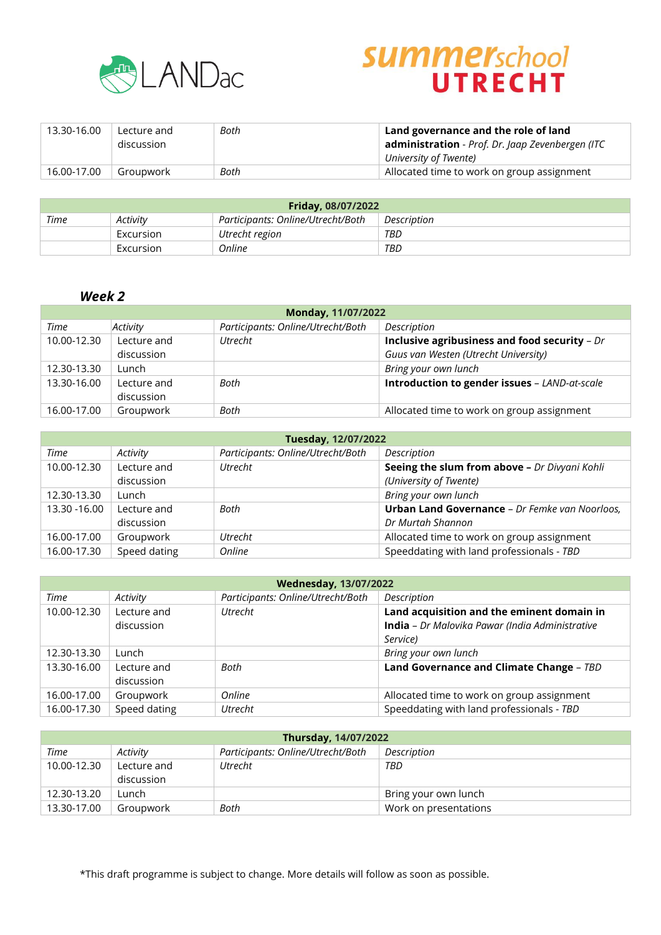

# **SUMMErschool**

| 13.30-16.00 | Lecture and<br>discussion | Both | Land governance and the role of land<br>administration - Prof. Dr. Jaap Zevenbergen (ITC |
|-------------|---------------------------|------|------------------------------------------------------------------------------------------|
|             |                           |      | University of Twente)                                                                    |
| 16.00-17.00 | Groupwork                 | Both | Allocated time to work on group assignment                                               |

| <b>Friday, 08/07/2022</b>                                            |           |                |     |  |  |
|----------------------------------------------------------------------|-----------|----------------|-----|--|--|
| Time<br>Participants: Online/Utrecht/Both<br>Description<br>Activity |           |                |     |  |  |
|                                                                      | Excursion | Utrecht region | TBD |  |  |
|                                                                      | Excursion | Online         | TBD |  |  |

### *Week 2*

| Monday, 11/07/2022 |             |                                   |                                                |  |
|--------------------|-------------|-----------------------------------|------------------------------------------------|--|
| Time               | Activity    | Participants: Online/Utrecht/Both | Description                                    |  |
| 10.00-12.30        | Lecture and | <b>Utrecht</b>                    | Inclusive agribusiness and food security $-Dr$ |  |
|                    | discussion  |                                   | Guus van Westen (Utrecht University)           |  |
| 12.30-13.30        | Lunch       |                                   | Bring your own lunch                           |  |
| 13.30-16.00        | Lecture and | <b>Both</b>                       | Introduction to gender issues - LAND-at-scale  |  |
|                    | discussion  |                                   |                                                |  |
| 16.00-17.00        | Groupwork   | Both                              | Allocated time to work on group assignment     |  |

| Tuesday, 12/07/2022 |              |                                   |                                                       |  |
|---------------------|--------------|-----------------------------------|-------------------------------------------------------|--|
| Time                | Activity     | Participants: Online/Utrecht/Both | Description                                           |  |
| 10.00-12.30         | Lecture and  | Utrecht                           | Seeing the slum from above - Dr Divyani Kohli         |  |
|                     | discussion   |                                   | (University of Twente)                                |  |
| 12.30-13.30         | Lunch        |                                   | Bring your own lunch                                  |  |
| 13.30 - 16.00       | Lecture and  | Both                              | <b>Urban Land Governance</b> - Dr Femke van Noorloos, |  |
|                     | discussion   |                                   | Dr Murtah Shannon                                     |  |
| 16.00-17.00         | Groupwork    | <b>Utrecht</b>                    | Allocated time to work on group assignment            |  |
| 16.00-17.30         | Speed dating | Online                            | Speeddating with land professionals - TBD             |  |

| <b>Wednesday, 13/07/2022</b> |                           |                                   |                                                                                                                  |  |
|------------------------------|---------------------------|-----------------------------------|------------------------------------------------------------------------------------------------------------------|--|
| Time                         | Activity                  | Participants: Online/Utrecht/Both | Description                                                                                                      |  |
| 10.00-12.30                  | Lecture and<br>discussion | <b>Utrecht</b>                    | Land acquisition and the eminent domain in<br><b>India</b> - Dr Malovika Pawar (India Administrative<br>Service) |  |
| 12.30-13.30                  | Lunch                     |                                   | Bring your own lunch                                                                                             |  |
| 13.30-16.00                  | Lecture and<br>discussion | Both                              | Land Governance and Climate Change - TBD                                                                         |  |
| 16.00-17.00                  | Groupwork                 | Online                            | Allocated time to work on group assignment                                                                       |  |
| 16.00-17.30                  | Speed dating              | Utrecht                           | Speeddating with land professionals - TBD                                                                        |  |

| <b>Thursday, 14/07/2022</b> |             |                                   |                       |  |
|-----------------------------|-------------|-----------------------------------|-----------------------|--|
| Time                        | Activity    | Participants: Online/Utrecht/Both | Description           |  |
| 10.00-12.30                 | Lecture and | <b>Utrecht</b>                    | TBD                   |  |
|                             | discussion  |                                   |                       |  |
| 12.30-13.20                 | Lunch       |                                   | Bring your own lunch  |  |
| 13.30-17.00                 | Groupwork   | Both                              | Work on presentations |  |

\*This draft programme is subject to change. More details will follow as soon as possible.